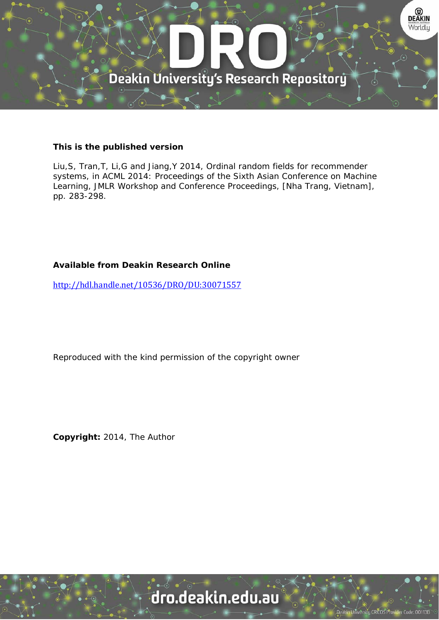

# **This is the published version**

Liu,S, Tran,T, Li,G and Jiang,Y 2014, Ordinal random fields for recommender systems, in ACML 2014: Proceedings of the Sixth Asian Conference on Machine Learning, JMLR Workshop and Conference Proceedings, [Nha Trang, Vietnam], pp. 283-298.

# **Available from Deakin Research Online**

http://hdl.handle.net/10536/DRO/DU:30071557

Reproduced with the kind permission of the copyright owner

**Copyright:** 2014, The Author

# dro.deakin.edu.au

University CRICOS Pro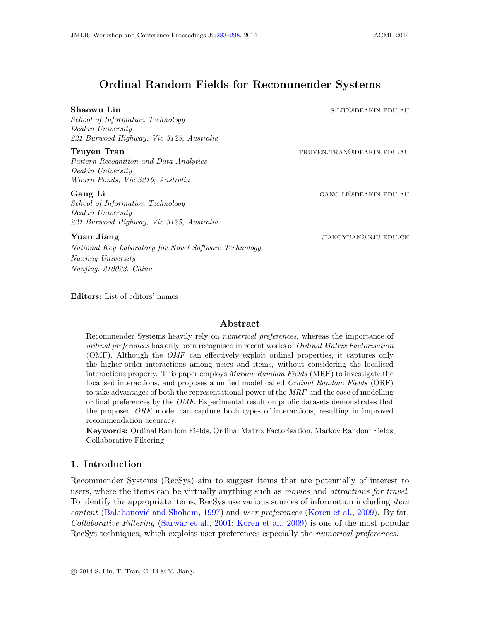# <span id="page-1-0"></span>Ordinal Random Fields for Recommender Systems

#### Shaowu Liu state and the state of the state of the state state state state state state state state state state state state state state state state state state state state state state state state state state state state sta

School of Information Technology Deakin University 221 Burwood Highway, Vic 3125, Australia

#### Truyen Tran trust and the settlement of the trust of the trust of the trust of the trust of the trust of the trust of the trust of the trust of the trust of the trust of the trust of the trust of the trust of the trust of

Pattern Recognition and Data Analytics Deakin University Waurn Ponds, Vic 3216, Australia

School of Information Technology Deakin University 221 Burwood Highway, Vic 3125, Australia

Gang Li GANG.LI@DEAKIN.EDU.AU

#### **Yuan Jiang jiang jiang pada 2009 na pada 2009 na pada 2009 na pada 2009 na pada 2009 na pada 2009 na pada 2009 na pada 2009 na pada 2009 na pada 2009 na pada 2009 na pada 2009 na pada 2009 na pada 2009 na pada 2009 na p**

National Key Laboratory for Novel Software Technology Nanjing University Nanjing, 210023, China

Editors: List of editors' names

#### Abstract

Recommender Systems heavily rely on numerical preferences, whereas the importance of ordinal preferences has only been recognised in recent works of Ordinal Matrix Factorisation (OMF). Although the OMF can effectively exploit ordinal properties, it captures only the higher-order interactions among users and items, without considering the localised interactions properly. This paper employs Markov Random Fields (MRF) to investigate the localised interactions, and proposes a unified model called *Ordinal Random Fields* (ORF) to take advantages of both the representational power of the MRF and the ease of modelling ordinal preferences by the OMF. Experimental result on public datasets demonstrates that the proposed ORF model can capture both types of interactions, resulting in improved recommendation accuracy.

Keywords: Ordinal Random Fields, Ordinal Matrix Factorisation, Markov Random Fields, Collaborative Filtering

### 1. Introduction

Recommender Systems (RecSys) aim to suggest items that are potentially of interest to users, where the items can be virtually anything such as movies and attractions for travel. To identify the appropriate items, RecSys use various sources of information including *item*  $content$  (Balabanović and Shoham, [1997\)](#page-15-0) and user preferences [\(Koren et al.,](#page-16-1) [2009\)](#page-16-1). By far, Collaborative Filtering [\(Sarwar et al.,](#page-16-2) [2001;](#page-16-2) [Koren et al.,](#page-16-1) [2009\)](#page-16-1) is one of the most popular RecSys techniques, which exploits user preferences especially the numerical preferences.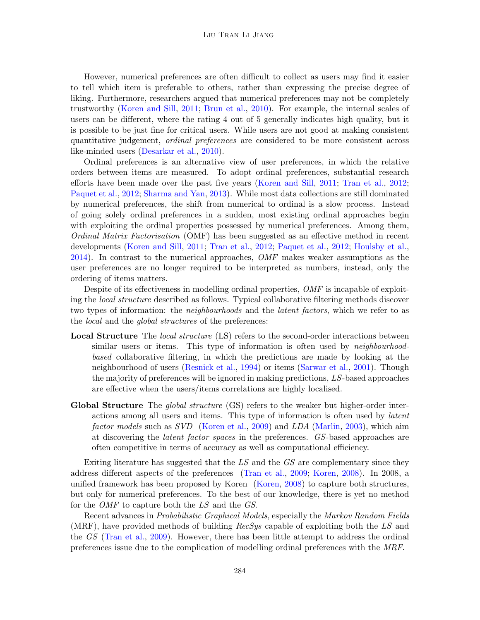#### Liu Tran Li Jiang

However, numerical preferences are often difficult to collect as users may find it easier to tell which item is preferable to others, rather than expressing the precise degree of liking. Furthermore, researchers argued that numerical preferences may not be completely trustworthy [\(Koren and Sill,](#page-16-3) [2011;](#page-16-3) [Brun et al.,](#page-15-1) [2010\)](#page-15-1). For example, the internal scales of users can be different, where the rating 4 out of 5 generally indicates high quality, but it is possible to be just fine for critical users. While users are not good at making consistent quantitative judgement, ordinal preferences are considered to be more consistent across like-minded users [\(Desarkar et al.,](#page-15-2) [2010\)](#page-15-2).

Ordinal preferences is an alternative view of user preferences, in which the relative orders between items are measured. To adopt ordinal preferences, substantial research efforts have been made over the past five years [\(Koren and Sill,](#page-16-3) [2011;](#page-16-3) [Tran et al.,](#page-16-4) [2012;](#page-16-4) [Paquet et al.,](#page-16-5) [2012;](#page-16-5) [Sharma and Yan,](#page-16-6) [2013\)](#page-16-6). While most data collections are still dominated by numerical preferences, the shift from numerical to ordinal is a slow process. Instead of going solely ordinal preferences in a sudden, most existing ordinal approaches begin with exploiting the ordinal properties possessed by numerical preferences. Among them, Ordinal Matrix Factorisation (OMF) has been suggested as an effective method in recent developments [\(Koren and Sill,](#page-16-3) [2011;](#page-16-3) [Tran et al.,](#page-16-4) [2012;](#page-16-4) [Paquet et al.,](#page-16-5) [2012;](#page-16-5) [Houlsby et al.,](#page-15-3)  $2014$ ). In contrast to the numerical approaches,  $OMF$  makes weaker assumptions as the user preferences are no longer required to be interpreted as numbers, instead, only the ordering of items matters.

Despite of its effectiveness in modelling ordinal properties, OMF is incapable of exploiting the local structure described as follows. Typical collaborative filtering methods discover two types of information: the *neighbourhoods* and the *latent factors*, which we refer to as the *local* and the *global structures* of the preferences:

- **Local Structure** The *local structure* (LS) refers to the second-order interactions between similar users or items. This type of information is often used by *neighbourhood*based collaborative filtering, in which the predictions are made by looking at the neighbourhood of users [\(Resnick et al.,](#page-16-7) [1994\)](#page-16-7) or items [\(Sarwar et al.,](#page-16-2) [2001\)](#page-16-2). Though the majority of preferences will be ignored in making predictions, LS-based approaches are effective when the users/items correlations are highly localised.
- Global Structure The *global structure* (GS) refers to the weaker but higher-order interactions among all users and items. This type of information is often used by latent factor models such as SVD [\(Koren et al.,](#page-16-1) [2009\)](#page-16-1) and LDA [\(Marlin,](#page-16-8) [2003\)](#page-16-8), which aim at discovering the latent factor spaces in the preferences. GS-based approaches are often competitive in terms of accuracy as well as computational efficiency.

Exiting literature has suggested that the LS and the GS are complementary since they address different aspects of the preferences [\(Tran et al.,](#page-16-9) [2009;](#page-16-9) [Koren,](#page-15-4) [2008\)](#page-15-4). In 2008, a unified framework has been proposed by Koren [\(Koren,](#page-15-4) [2008\)](#page-15-4) to capture both structures, but only for numerical preferences. To the best of our knowledge, there is yet no method for the OMF to capture both the LS and the GS.

Recent advances in Probabilistic Graphical Models, especially the Markov Random Fields (MRF), have provided methods of building  $RecSys$  capable of exploiting both the LS and the GS [\(Tran et al.,](#page-16-9) [2009\)](#page-16-9). However, there has been little attempt to address the ordinal preferences issue due to the complication of modelling ordinal preferences with the MRF.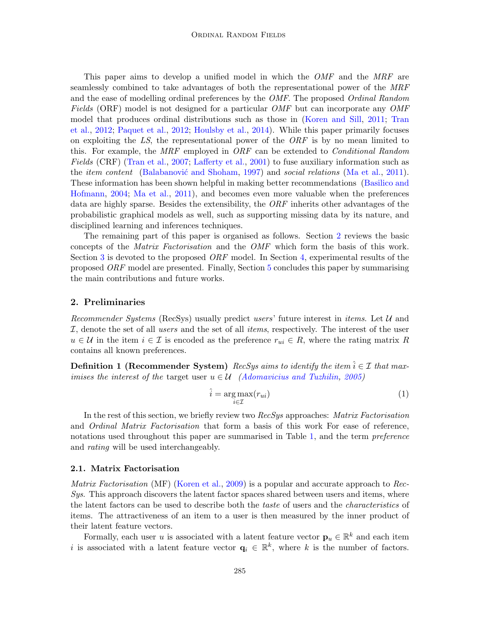This paper aims to develop a unified model in which the OMF and the MRF are seamlessly combined to take advantages of both the representational power of the MRF and the ease of modelling ordinal preferences by the *OMF*. The proposed *Ordinal Random* Fields (ORF) model is not designed for a particular *OMF* but can incorporate any *OMF* model that produces ordinal distributions such as those in [\(Koren and Sill,](#page-16-3) [2011;](#page-16-3) [Tran](#page-16-4) [et al.,](#page-16-4) [2012;](#page-16-4) [Paquet et al.,](#page-16-5) [2012;](#page-16-5) [Houlsby et al.,](#page-15-3) [2014\)](#page-15-3). While this paper primarily focuses on exploiting the LS, the representational power of the  $ORF$  is by no mean limited to this. For example, the  $MRF$  employed in  $ORF$  can be extended to *Conditional Random* Fields (CRF) [\(Tran et al.,](#page-16-10) [2007;](#page-16-10) [Lafferty et al.,](#page-16-11) [2001\)](#page-16-11) to fuse auxiliary information such as the *item content* (Balabanović and Shoham, [1997\)](#page-15-0) and *social relations* [\(Ma et al.,](#page-16-12) [2011\)](#page-16-12). These information has been shown helpful in making better recommendations [\(Basilico and](#page-15-5) [Hofmann,](#page-15-5) [2004;](#page-15-5) [Ma et al.,](#page-16-12) [2011\)](#page-16-12), and becomes even more valuable when the preferences data are highly sparse. Besides the extensibility, the ORF inherits other advantages of the probabilistic graphical models as well, such as supporting missing data by its nature, and disciplined learning and inferences techniques.

The remaining part of this paper is organised as follows. Section [2](#page-3-0) reviews the basic concepts of the Matrix Factorisation and the OMF which form the basis of this work. Section [3](#page-6-0) is devoted to the proposed  $ORF$  model. In Section [4,](#page-10-0) experimental results of the proposed ORF model are presented. Finally, Section [5](#page-14-0) concludes this paper by summarising the main contributions and future works.

#### <span id="page-3-0"></span>2. Preliminaries

Recommender Systems (RecSys) usually predict users' future interest in *items*. Let  $U$  and  $I$ , denote the set of all users and the set of all *items*, respectively. The interest of the user  $u \in \mathcal{U}$  in the item  $i \in \mathcal{I}$  is encoded as the preference  $r_{ui} \in R$ , where the rating matrix R contains all known preferences.

**Definition 1 (Recommender System)** RecSys aims to identify the item  $\hat{i} \in \mathcal{I}$  that maximises the interest of the target user  $u \in \mathcal{U}$  [\(Adomavicius and Tuzhilin,](#page-15-6) [2005\)](#page-15-6)

$$
\hat{i} = \underset{i \in \mathcal{I}}{\arg \max} (r_{ui}) \tag{1}
$$

In the rest of this section, we briefly review two RecSys approaches: Matrix Factorisation and Ordinal Matrix Factorisation that form a basis of this work For ease of reference, notations used throughout this paper are summarised in Table [1,](#page-4-0) and the term *preference* and rating will be used interchangeably.

#### 2.1. Matrix Factorisation

Matrix Factorisation (MF) [\(Koren et al.,](#page-16-1) [2009\)](#page-16-1) is a popular and accurate approach to Rec-Sys. This approach discovers the latent factor spaces shared between users and items, where the latent factors can be used to describe both the *taste* of users and the *characteristics* of items. The attractiveness of an item to a user is then measured by the inner product of their latent feature vectors.

Formally, each user u is associated with a latent feature vector  $\mathbf{p}_u \in \mathbb{R}^k$  and each item i is associated with a latent feature vector  $\mathbf{q}_i \in \mathbb{R}^k$ , where k is the number of factors.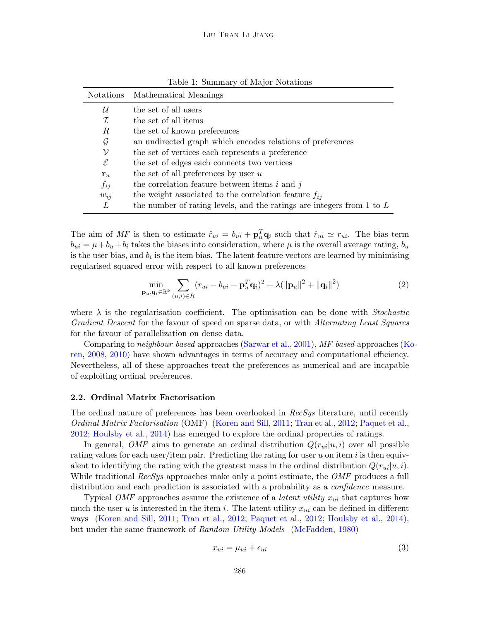<span id="page-4-0"></span>

| Notations    | Mathematical Meanings                                                     |
|--------------|---------------------------------------------------------------------------|
| $\mathcal U$ | the set of all users                                                      |
| I            | the set of all items                                                      |
| R            | the set of known preferences                                              |
| $\mathcal G$ | an undirected graph which encodes relations of preferences                |
| ν            | the set of vertices each represents a preference                          |
| $\mathcal E$ | the set of edges each connects two vertices                               |
| ${\bf r}_u$  | the set of all preferences by user $u$                                    |
| $f_{ij}$     | the correlation feature between items $i$ and $j$                         |
| $w_{ii}$     | the weight associated to the correlation feature $f_{ij}$                 |
| L            | the number of rating levels, and the ratings are integers from $1$ to $L$ |

Table 1: Summary of Major Notations

The aim of MF is then to estimate  $\hat{r}_{ui} = b_{ui} + \mathbf{p}_u^T \mathbf{q}_i$  such that  $\hat{r}_{ui} \simeq r_{ui}$ . The bias term  $b_{ui} = \mu + b_u + b_i$  takes the biases into consideration, where  $\mu$  is the overall average rating,  $b_u$ is the user bias, and  $b_i$  is the item bias. The latent feature vectors are learned by minimising regularised squared error with respect to all known preferences

$$
\min_{\mathbf{p}_u, \mathbf{q}_i \in \mathbb{R}^k} \sum_{(u,i) \in R} (r_{ui} - b_{ui} - \mathbf{p}_u^T \mathbf{q}_i)^2 + \lambda (\|\mathbf{p}_u\|^2 + \|\mathbf{q}_i\|^2)
$$
(2)

where  $\lambda$  is the regularisation coefficient. The optimisation can be done with *Stochastic* Gradient Descent for the favour of speed on sparse data, or with Alternating Least Squares for the favour of parallelization on dense data.

Comparing to neighbour-based approaches [\(Sarwar et al.,](#page-16-2) [2001\)](#page-16-2), MF-based approaches [\(K](#page-15-4)o[ren,](#page-15-4) [2008,](#page-15-4) [2010\)](#page-15-7) have shown advantages in terms of accuracy and computational efficiency. Nevertheless, all of these approaches treat the preferences as numerical and are incapable of exploiting ordinal preferences.

#### 2.2. Ordinal Matrix Factorisation

The ordinal nature of preferences has been overlooked in RecSys literature, until recently Ordinal Matrix Factorisation (OMF) [\(Koren and Sill,](#page-16-3) [2011;](#page-16-3) [Tran et al.,](#page-16-4) [2012;](#page-16-4) [Paquet et al.,](#page-16-5) [2012;](#page-16-5) [Houlsby et al.,](#page-15-3) [2014\)](#page-15-3) has emerged to explore the ordinal properties of ratings.

In general, OMF aims to generate an ordinal distribution  $Q(r_{ui}|u, i)$  over all possible rating values for each user/item pair. Predicting the rating for user u on item i is then equivalent to identifying the rating with the greatest mass in the ordinal distribution  $Q(r_{ui}|u, i)$ . While traditional RecSys approaches make only a point estimate, the *OMF* produces a full distribution and each prediction is associated with a probability as a *confidence* measure.

Typical OMF approaches assume the existence of a *latent utility*  $x_{ui}$  that captures how much the user u is interested in the item i. The latent utility  $x_{ui}$  can be defined in different ways [\(Koren and Sill,](#page-16-3) [2011;](#page-16-3) [Tran et al.,](#page-16-4) [2012;](#page-16-4) [Paquet et al.,](#page-16-5) [2012;](#page-16-5) [Houlsby et al.,](#page-15-3) [2014\)](#page-15-3), but under the same framework of Random Utility Models [\(McFadden,](#page-16-13) [1980\)](#page-16-13)

$$
x_{ui} = \mu_{ui} + \epsilon_{ui} \tag{3}
$$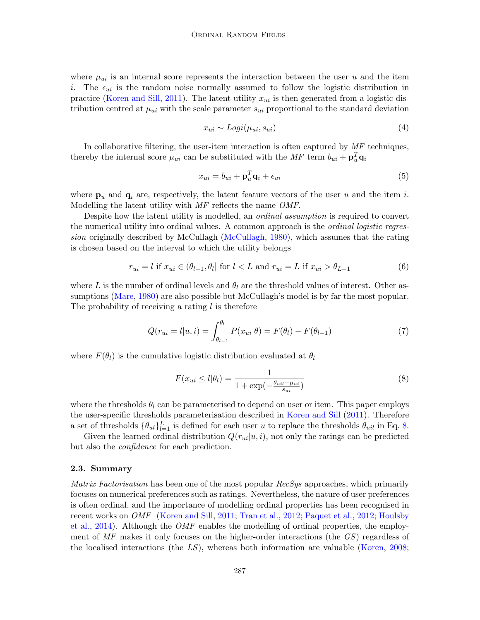where  $\mu_{ui}$  is an internal score represents the interaction between the user u and the item i. The  $\epsilon_{ui}$  is the random noise normally assumed to follow the logistic distribution in practice [\(Koren and Sill,](#page-16-3) [2011\)](#page-16-3). The latent utility  $x_{ui}$  is then generated from a logistic distribution centred at  $\mu_{ui}$  with the scale parameter  $s_{ui}$  proportional to the standard deviation

$$
x_{ui} \sim Logi(\mu_{ui}, s_{ui}) \tag{4}
$$

In collaborative filtering, the user-item interaction is often captured by  $MF$  techniques, thereby the internal score  $\mu_{ui}$  can be substituted with the  $MF$  term  $b_{ui} + \mathbf{p}_u^T \mathbf{q}_i$ 

$$
x_{ui} = b_{ui} + \mathbf{p}_u^T \mathbf{q}_i + \epsilon_{ui} \tag{5}
$$

where  $\mathbf{p}_u$  and  $\mathbf{q}_i$  are, respectively, the latent feature vectors of the user u and the item i. Modelling the latent utility with MF reflects the name OMF.

Despite how the latent utility is modelled, an ordinal assumption is required to convert the numerical utility into ordinal values. A common approach is the *ordinal logistic regres*sion originally described by McCullagh [\(McCullagh,](#page-16-14) [1980\)](#page-16-14), which assumes that the rating is chosen based on the interval to which the utility belongs

$$
r_{ui} = l \text{ if } x_{ui} \in (\theta_{l-1}, \theta_l] \text{ for } l < L \text{ and } r_{ui} = L \text{ if } x_{ui} > \theta_{L-1} \tag{6}
$$

where L is the number of ordinal levels and  $\theta_l$  are the threshold values of interest. Other as-sumptions [\(Mare,](#page-16-15) [1980\)](#page-16-15) are also possible but McCullagh's model is by far the most popular. The probability of receiving a rating  $l$  is therefore

<span id="page-5-1"></span>
$$
Q(r_{ui} = l | u, i) = \int_{\theta_{l-1}}^{\theta_l} P(x_{ui} | \theta) = F(\theta_l) - F(\theta_{l-1})
$$
\n(7)

where  $F(\theta_l)$  is the cumulative logistic distribution evaluated at  $\theta_l$ 

<span id="page-5-0"></span>
$$
F(x_{ui} \le l|\theta_l) = \frac{1}{1 + \exp(-\frac{\theta_{ui} - \mu_{ui}}{s_{ui}})}
$$
(8)

where the thresholds  $\theta_l$  can be parameterised to depend on user or item. This paper employs the user-specific thresholds parameterisation described in [Koren and Sill](#page-16-3) [\(2011\)](#page-16-3). Therefore a set of thresholds  $\{\theta_{ul}\}_{l=1}^L$  is defined for each user u to replace the thresholds  $\theta_{uil}$  in Eq. [8.](#page-5-0)

Given the learned ordinal distribution  $Q(r_{ui}|u, i)$ , not only the ratings can be predicted but also the confidence for each prediction.

#### 2.3. Summary

Matrix Factorisation has been one of the most popular RecSys approaches, which primarily focuses on numerical preferences such as ratings. Nevertheless, the nature of user preferences is often ordinal, and the importance of modelling ordinal properties has been recognised in recent works on OMF [\(Koren and Sill,](#page-16-3) [2011;](#page-16-3) [Tran et al.,](#page-16-4) [2012;](#page-16-4) [Paquet et al.,](#page-16-5) [2012;](#page-16-5) [Houlsby](#page-15-3) [et al.,](#page-15-3) [2014\)](#page-15-3). Although the *OMF* enables the modelling of ordinal properties, the employment of MF makes it only focuses on the higher-order interactions (the GS) regardless of the localised interactions (the  $LS$ ), whereas both information are valuable [\(Koren,](#page-15-4) [2008;](#page-15-4)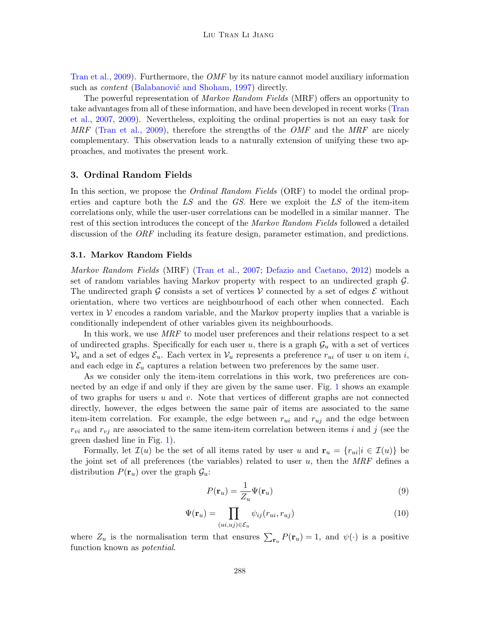[Tran et al.,](#page-16-9) [2009\)](#page-16-9). Furthermore, the OMF by its nature cannot model auxiliary information such as *content* (Balabanović and Shoham, [1997\)](#page-15-0) directly.

The powerful representation of Markov Random Fields (MRF) offers an opportunity to take advantages from all of these information, and have been developed in recent works [\(Tran](#page-16-10) [et al.,](#page-16-10) [2007,](#page-16-10) [2009\)](#page-16-9). Nevertheless, exploiting the ordinal properties is not an easy task for MRF [\(Tran et al.,](#page-16-9) [2009\)](#page-16-9), therefore the strengths of the *OMF* and the *MRF* are nicely complementary. This observation leads to a naturally extension of unifying these two approaches, and motivates the present work.

#### <span id="page-6-0"></span>3. Ordinal Random Fields

In this section, we propose the *Ordinal Random Fields* (ORF) to model the ordinal properties and capture both the  $LS$  and the  $GS$ . Here we exploit the  $LS$  of the item-item correlations only, while the user-user correlations can be modelled in a similar manner. The rest of this section introduces the concept of the *Markov Random Fields* followed a detailed discussion of the ORF including its feature design, parameter estimation, and predictions.

#### 3.1. Markov Random Fields

Markov Random Fields (MRF) [\(Tran et al.,](#page-16-10) [2007;](#page-16-10) [Defazio and Caetano,](#page-15-8) [2012\)](#page-15-8) models a set of random variables having Markov property with respect to an undirected graph G. The undirected graph G consists a set of vertices V connected by a set of edges  $\mathcal E$  without orientation, where two vertices are neighbourhood of each other when connected. Each vertex in  $V$  encodes a random variable, and the Markov property implies that a variable is conditionally independent of other variables given its neighbourhoods.

In this work, we use MRF to model user preferences and their relations respect to a set of undirected graphs. Specifically for each user u, there is a graph  $\mathcal{G}_u$  with a set of vertices  $V_u$  and a set of edges  $\mathcal{E}_u$ . Each vertex in  $V_u$  represents a preference  $r_{ui}$  of user u on item i, and each edge in  $\mathcal{E}_u$  captures a relation between two preferences by the same user.

As we consider only the item-item correlations in this work, two preferences are connected by an edge if and only if they are given by the same user. Fig. [1](#page-7-0) shows an example of two graphs for users  $u$  and  $v$ . Note that vertices of different graphs are not connected directly, however, the edges between the same pair of items are associated to the same item-item correlation. For example, the edge between  $r_{ui}$  and  $r_{uj}$  and the edge between  $r_{vi}$  and  $r_{vj}$  are associated to the same item-item correlation between items i and j (see the green dashed line in Fig. [1\)](#page-7-0).

Formally, let  $\mathcal{I}(u)$  be the set of all items rated by user u and  $\mathbf{r}_u = \{r_{ui}|i \in \mathcal{I}(u)\}\$  be the joint set of all preferences (the variables) related to user  $u$ , then the MRF defines a distribution  $P(\mathbf{r}_u)$  over the graph  $\mathcal{G}_u$ :

$$
P(\mathbf{r}_u) = \frac{1}{Z_u} \Psi(\mathbf{r}_u)
$$
\n(9)

<span id="page-6-1"></span>
$$
\Psi(\mathbf{r}_u) = \prod_{(ui,uj)\in\mathcal{E}_u} \psi_{ij}(r_{ui}, r_{uj})
$$
\n(10)

where  $Z_u$  is the normalisation term that ensures  $\sum_{\mathbf{r}_u} P(\mathbf{r}_u) = 1$ , and  $\psi(\cdot)$  is a positive function known as potential.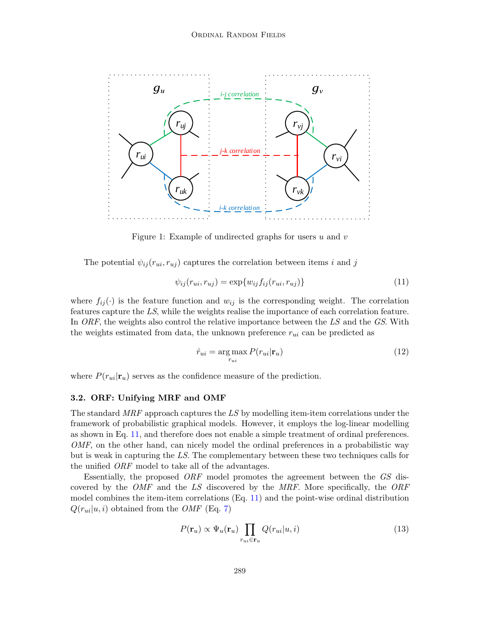

Figure 1: Example of undirected graphs for users  $u$  and  $v$ 

The potential  $\psi_{ij}(r_{ui}, r_{uj})$  captures the correlation between items i and j

<span id="page-7-1"></span><span id="page-7-0"></span>
$$
\psi_{ij}(r_{ui},r_{uj}) = \exp\{w_{ij}f_{ij}(r_{ui},r_{uj})\}\tag{11}
$$

where  $f_{ij}(\cdot)$  is the feature function and  $w_{ij}$  is the corresponding weight. The correlation features capture the LS, while the weights realise the importance of each correlation feature. In ORF, the weights also control the relative importance between the  $LS$  and the  $GS$ . With the weights estimated from data, the unknown preference  $r_{ui}$  can be predicted as

$$
\hat{r}_{ui} = \underset{r_{ui}}{\arg \max} P(r_{ui}|\mathbf{r}_u)
$$
\n(12)

where  $P(r_{ui}|\mathbf{r}_u)$  serves as the confidence measure of the prediction.

#### 3.2. ORF: Unifying MRF and OMF

The standard MRF approach captures the LS by modelling item-item correlations under the framework of probabilistic graphical models. However, it employs the log-linear modelling as shown in Eq. [11,](#page-7-1) and therefore does not enable a simple treatment of ordinal preferences. OMF, on the other hand, can nicely model the ordinal preferences in a probabilistic way but is weak in capturing the LS. The complementary between these two techniques calls for the unified ORF model to take all of the advantages.

Essentially, the proposed ORF model promotes the agreement between the GS discovered by the OMF and the LS discovered by the MRF. More specifically, the ORF model combines the item-item correlations (Eq. [11\)](#page-7-1) and the point-wise ordinal distribution  $Q(r_{ui}|u, i)$  obtained from the *OMF* (Eq. [7\)](#page-5-1)

$$
P(\mathbf{r}_u) \propto \Psi_u(\mathbf{r}_u) \prod_{r_{ui} \in \mathbf{r}_u} Q(r_{ui}|u, i)
$$
\n(13)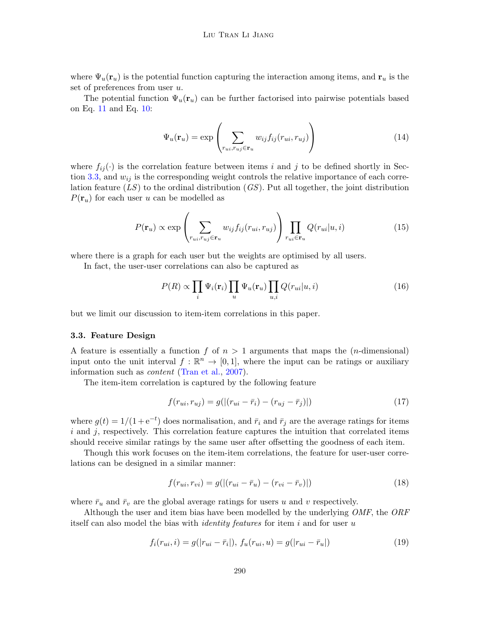where  $\Psi_u(\mathbf{r}_u)$  is the potential function capturing the interaction among items, and  $\mathbf{r}_u$  is the set of preferences from user u.

The potential function  $\Psi_u(\mathbf{r}_u)$  can be further factorised into pairwise potentials based on Eq. [11](#page-7-1) and Eq. [10:](#page-6-1)

$$
\Psi_u(\mathbf{r}_u) = \exp\left(\sum_{r_{ui}, r_{uj} \in \mathbf{r}_u} w_{ij} f_{ij}(r_{ui}, r_{uj})\right) \tag{14}
$$

where  $f_{ij}(\cdot)$  is the correlation feature between items i and j to be defined shortly in Sec-tion [3.3,](#page-8-0) and  $w_{ij}$  is the corresponding weight controls the relative importance of each correlation feature  $(LS)$  to the ordinal distribution  $(GS)$ . Put all together, the joint distribution  $P(\mathbf{r}_u)$  for each user u can be modelled as

$$
P(\mathbf{r}_u) \propto \exp\left(\sum_{r_{ui}, r_{uj} \in \mathbf{r}_u} w_{ij} f_{ij}(r_{ui}, r_{uj})\right) \prod_{r_{ui} \in \mathbf{r}_u} Q(r_{ui}|u, i)
$$
(15)

where there is a graph for each user but the weights are optimised by all users.

In fact, the user-user correlations can also be captured as

$$
P(R) \propto \prod_{i} \Psi_i(\mathbf{r}_i) \prod_{u} \Psi_u(\mathbf{r}_u) \prod_{u,i} Q(r_{ui}|u,i)
$$
 (16)

but we limit our discussion to item-item correlations in this paper.

#### <span id="page-8-0"></span>3.3. Feature Design

A feature is essentially a function f of  $n > 1$  arguments that maps the (*n*-dimensional) input onto the unit interval  $f : \mathbb{R}^n \to [0,1]$ , where the input can be ratings or auxiliary information such as *content* [\(Tran et al.,](#page-16-10) [2007\)](#page-16-10).

The item-item correlation is captured by the following feature

<span id="page-8-1"></span>
$$
f(r_{ui}, r_{uj}) = g(|(r_{ui} - \bar{r}_i) - (r_{uj} - \bar{r}_j)|)
$$
\n(17)

where  $g(t) = 1/(1 + e^{-t})$  does normalisation, and  $\bar{r}_i$  and  $\bar{r}_j$  are the average ratings for items  $i$  and  $j$ , respectively. This correlation feature captures the intuition that correlated items should receive similar ratings by the same user after offsetting the goodness of each item.

Though this work focuses on the item-item correlations, the feature for user-user correlations can be designed in a similar manner:

$$
f(r_{ui}, r_{vi}) = g(|(r_{ui} - \bar{r}_u) - (r_{vi} - \bar{r}_v)|)
$$
\n(18)

where  $\bar{r}_u$  and  $\bar{r}_v$  are the global average ratings for users u and v respectively.

Although the user and item bias have been modelled by the underlying OMF, the ORF itself can also model the bias with *identity features* for item i and for user u

$$
f_i(r_{ui}, i) = g(|r_{ui} - \bar{r}_i|), f_u(r_{ui}, u) = g(|r_{ui} - \bar{r}_u|)
$$
\n(19)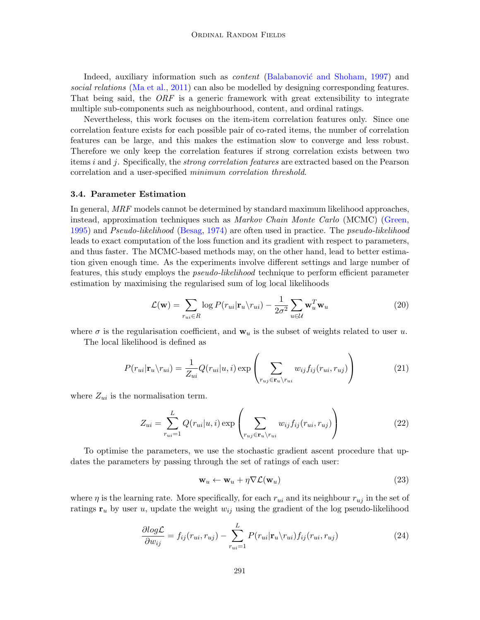Indeed, auxiliary information such as *content* (Balabanović and Shoham, [1997\)](#page-15-0) and social relations [\(Ma et al.,](#page-16-12) [2011\)](#page-16-12) can also be modelled by designing corresponding features. That being said, the ORF is a generic framework with great extensibility to integrate multiple sub-components such as neighbourhood, content, and ordinal ratings.

Nevertheless, this work focuses on the item-item correlation features only. Since one correlation feature exists for each possible pair of co-rated items, the number of correlation features can be large, and this makes the estimation slow to converge and less robust. Therefore we only keep the correlation features if strong correlation exists between two items i and j. Specifically, the strong correlation features are extracted based on the Pearson correlation and a user-specified minimum correlation threshold.

#### 3.4. Parameter Estimation

In general, MRF models cannot be determined by standard maximum likelihood approaches, instead, approximation techniques such as *Markov Chain Monte Carlo* (MCMC) [\(Green,](#page-15-9) [1995\)](#page-15-9) and Pseudo-likelihood [\(Besag,](#page-15-10) [1974\)](#page-15-10) are often used in practice. The pseudo-likelihood leads to exact computation of the loss function and its gradient with respect to parameters, and thus faster. The MCMC-based methods may, on the other hand, lead to better estimation given enough time. As the experiments involve different settings and large number of features, this study employs the pseudo-likelihood technique to perform efficient parameter estimation by maximising the regularised sum of log local likelihoods

$$
\mathcal{L}(\mathbf{w}) = \sum_{r_{ui} \in R} \log P(r_{ui}|\mathbf{r}_u \backslash r_{ui}) - \frac{1}{2\sigma^2} \sum_{u \in \mathcal{U}} \mathbf{w}_u^T \mathbf{w}_u
$$
\n(20)

where  $\sigma$  is the regularisation coefficient, and  $\mathbf{w}_u$  is the subset of weights related to user u.

The local likelihood is defined as

<span id="page-9-1"></span>
$$
P(r_{ui}|\mathbf{r}_u \backslash r_{ui}) = \frac{1}{Z_{ui}} Q(r_{ui}|u, i) \exp\left(\sum_{r_{uj} \in \mathbf{r}_u \backslash r_{ui}} w_{ij} f_{ij}(r_{ui}, r_{uj})\right)
$$
(21)

where  $Z_{ui}$  is the normalisation term.

<span id="page-9-0"></span>
$$
Z_{ui} = \sum_{r_{ui}=1}^{L} Q(r_{ui}|u,i) \exp\left(\sum_{r_{uj}\in\mathbf{r}_u\backslash r_{ui}} w_{ij} f_{ij}(r_{ui},r_{uj})\right)
$$
(22)

To optimise the parameters, we use the stochastic gradient ascent procedure that updates the parameters by passing through the set of ratings of each user:

$$
\mathbf{w}_u \leftarrow \mathbf{w}_u + \eta \nabla \mathcal{L}(\mathbf{w}_u) \tag{23}
$$

where  $\eta$  is the learning rate. More specifically, for each  $r_{ui}$  and its neighbour  $r_{uj}$  in the set of ratings  $\mathbf{r}_u$  by user u, update the weight  $w_{ij}$  using the gradient of the log pseudo-likelihood

<span id="page-9-2"></span>
$$
\frac{\partial \log \mathcal{L}}{\partial w_{ij}} = f_{ij}(r_{ui}, r_{uj}) - \sum_{r_{ui}=1}^{L} P(r_{ui}|\mathbf{r}_u \backslash r_{ui}) f_{ij}(r_{ui}, r_{uj}) \tag{24}
$$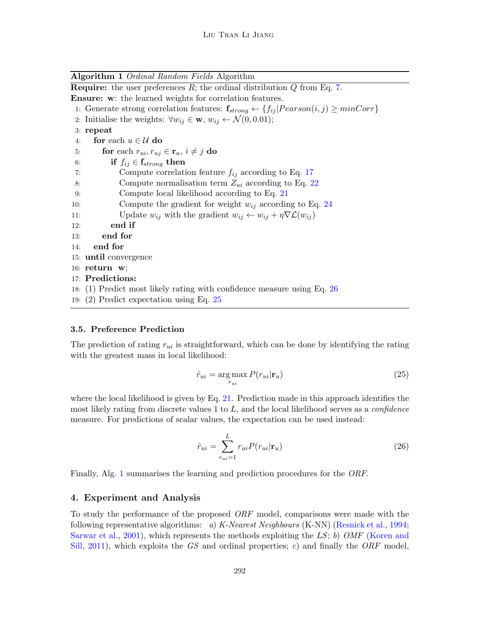Algorithm 1 Ordinal Random Fields Algorithm **Require:** the user preferences  $R$ ; the ordinal distribution  $Q$  from Eq. [7.](#page-5-1) Ensure: w: the learned weights for correlation features. 1: Generate strong correlation features:  $f_{strong} \leftarrow \{f_{ij} | Pearson(i, j) \geq minCorr\}$ 2: Initialise the weights:  $\forall w_{ij} \in \mathbf{w}, w_{ij} \leftarrow \mathcal{N}(0, 0.01);$ 3: repeat 4: for each  $u \in \mathcal{U}$  do 5: **for** each  $r_{ui}, r_{uj} \in \mathbf{r}_u, i \neq j$  do 6: if  $f_{ij} \in \mathbf{f}_{strong}$  then 7: Compute correlation feature  $f_{ij}$  according to Eq. [17](#page-8-1) 8: Compute normalisation term  $Z_{ui}$  according to Eq. [22](#page-9-0) 9: Compute local likelihood according to Eq. [21](#page-9-1) 10: Compute the gradient for weight  $w_{ij}$  according to Eq. [24](#page-9-2) 11: Update  $w_{ij}$  with the gradient  $w_{ij} \leftarrow w_{ij} + \eta \nabla \mathcal{L}(w_{ij})$ 12: end if 13: end for 14: end for 15: until convergence 16: return w; 17: Predictions: 18: (1) Predict most likely rating with confidence measure using Eq. [26](#page-10-1) 19: (2) Predict expectation using Eq. [25](#page-10-2)

#### <span id="page-10-3"></span>3.5. Preference Prediction

The prediction of rating  $r_{ui}$  is straightforward, which can be done by identifying the rating with the greatest mass in local likelihood:

<span id="page-10-2"></span>
$$
\hat{r}_{ui} = \underset{r_{ui}}{\arg \max} P(r_{ui}|\mathbf{r}_u)
$$
\n(25)

where the local likelihood is given by Eq. [21.](#page-9-1) Prediction made in this approach identifies the most likely rating from discrete values 1 to  $L$ , and the local likelihood serves as a *confidence* measure. For predictions of scalar values, the expectation can be used instead:

<span id="page-10-1"></span>
$$
\hat{r}_{ui} = \sum_{r_{ui}=1}^{L} r_{ui} P(r_{ui}|\mathbf{r}_u)
$$
\n(26)

Finally, Alg. [1](#page-10-3) summarises the learning and prediction procedures for the ORF.

#### <span id="page-10-0"></span>4. Experiment and Analysis

To study the performance of the proposed ORF model, comparisons were made with the following representative algorithms: a) K-Nearest Neighbours (K-NN) [\(Resnick et al.,](#page-16-7) [1994;](#page-16-7) [Sarwar et al.,](#page-16-2) [2001\)](#page-16-2), which represents the methods exploiting the LS; b) OMF [\(Koren and](#page-16-3) [Sill,](#page-16-3) [2011\)](#page-16-3), which exploits the GS and ordinal properties; c) and finally the  $ORF$  model,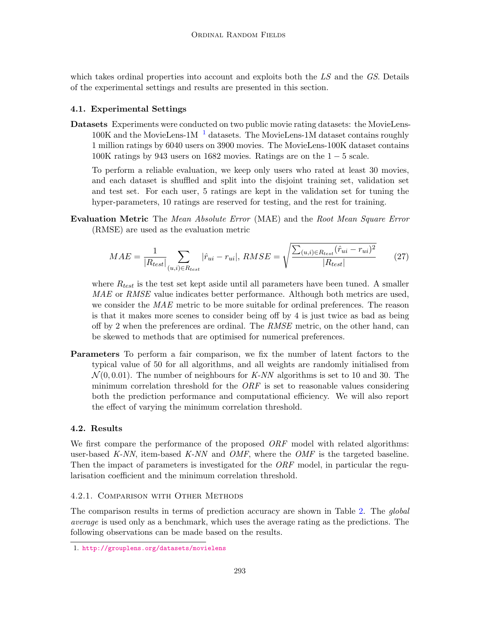which takes ordinal properties into account and exploits both the LS and the GS. Details of the experimental settings and results are presented in this section.

### 4.1. Experimental Settings

Datasets Experiments were conducted on two public movie rating datasets: the MovieLens- $100K$  $100K$  and the MovieLens-1M  $^{-1}$  datasets. The MovieLens-1M dataset contains roughly 1 million ratings by 6040 users on 3900 movies. The MovieLens-100K dataset contains  $100K$  ratings by 943 users on 1682 movies. Ratings are on the  $1-5$  scale.

To perform a reliable evaluation, we keep only users who rated at least 30 movies, and each dataset is shuffled and split into the disjoint training set, validation set and test set. For each user, 5 ratings are kept in the validation set for tuning the hyper-parameters, 10 ratings are reserved for testing, and the rest for training.

Evaluation Metric The Mean Absolute Error (MAE) and the Root Mean Square Error (RMSE) are used as the evaluation metric

$$
MAE = \frac{1}{|R_{test}|} \sum_{(u,i) \in R_{test}} |\hat{r}_{ui} - r_{ui}|, RMSE = \sqrt{\frac{\sum_{(u,i) \in R_{test}} (\hat{r}_{ui} - r_{ui})^2}{|R_{test}|}}
$$
(27)

where  $R_{test}$  is the test set kept aside until all parameters have been tuned. A smaller MAE or RMSE value indicates better performance. Although both metrics are used, we consider the MAE metric to be more suitable for ordinal preferences. The reason is that it makes more scenes to consider being off by 4 is just twice as bad as being off by 2 when the preferences are ordinal. The  $RMSE$  metric, on the other hand, can be skewed to methods that are optimised for numerical preferences.

Parameters To perform a fair comparison, we fix the number of latent factors to the typical value of 50 for all algorithms, and all weights are randomly initialised from  $\mathcal{N}(0, 0.01)$ . The number of neighbours for K-NN algorithms is set to 10 and 30. The minimum correlation threshold for the  $ORF$  is set to reasonable values considering both the prediction performance and computational efficiency. We will also report the effect of varying the minimum correlation threshold.

### 4.2. Results

We first compare the performance of the proposed  $ORF$  model with related algorithms: user-based K-NN, item-based K-NN and OMF, where the OMF is the targeted baseline. Then the impact of parameters is investigated for the *ORF* model, in particular the regularisation coefficient and the minimum correlation threshold.

### 4.2.1. Comparison with Other Methods

The comparison results in terms of prediction accuracy are shown in Table [2.](#page-12-0) The *global* average is used only as a benchmark, which uses the average rating as the predictions. The following observations can be made based on the results.

<span id="page-11-0"></span><sup>1.</sup> <http://grouplens.org/datasets/movielens>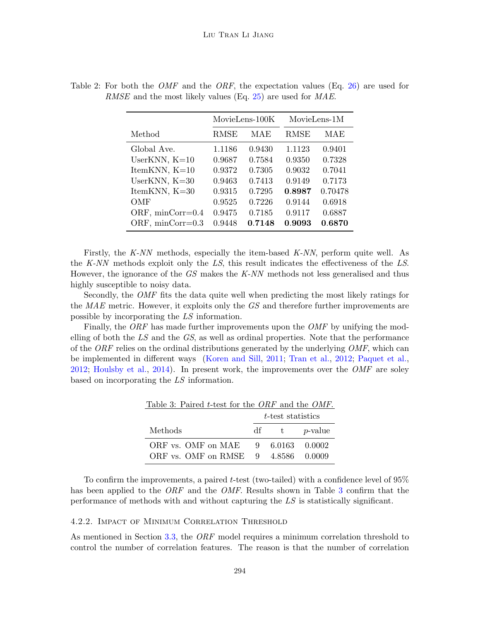|                    | MovieLens-100K |        | MovieLens-1M |         |
|--------------------|----------------|--------|--------------|---------|
| Method             | <b>RMSE</b>    | MAE    | <b>RMSE</b>  | MAE     |
| Global Ave.        | 1.1186         | 0.9430 | 1.1123       | 0.9401  |
| UserKNN, $K=10$    | 0.9687         | 0.7584 | 0.9350       | 0.7328  |
| ItemKNN, $K=10$    | 0.9372         | 0.7305 | 0.9032       | 0.7041  |
| UserKNN, $K=30$    | 0.9463         | 0.7413 | 0.9149       | 0.7173  |
| ItemKNN, $K=30$    | 0.9315         | 0.7295 | 0.8987       | 0.70478 |
| OMF                | 0.9525         | 0.7226 | 0.9144       | 0.6918  |
| ORF, $minCorr=0.4$ | 0.9475         | 0.7185 | 0.9117       | 0.6887  |
| ORF, minCorr=0.3   | 0.9448         | 0.7148 | 0.9093       | 0.6870  |

<span id="page-12-0"></span>Table 2: For both the *OMF* and the *ORF*, the expectation values (Eq. [26\)](#page-10-1) are used for RMSE and the most likely values (Eq. [25\)](#page-10-2) are used for MAE.

Firstly, the K-NN methods, especially the item-based K-NN, perform quite well. As the K-NN methods exploit only the LS, this result indicates the effectiveness of the LS. However, the ignorance of the GS makes the K-NN methods not less generalised and thus highly susceptible to noisy data.

Secondly, the OMF fits the data quite well when predicting the most likely ratings for the MAE metric. However, it exploits only the GS and therefore further improvements are possible by incorporating the LS information.

<span id="page-12-1"></span>Finally, the ORF has made further improvements upon the OMF by unifying the modelling of both the  $LS$  and the  $GS$ , as well as ordinal properties. Note that the performance of the  $ORF$  relies on the ordinal distributions generated by the underlying  $OMF$ , which can be implemented in different ways [\(Koren and Sill,](#page-16-3) [2011;](#page-16-3) [Tran et al.,](#page-16-4) [2012;](#page-16-4) [Paquet et al.,](#page-16-5) [2012;](#page-16-5) [Houlsby et al.,](#page-15-3) [2014\)](#page-15-3). In present work, the improvements over the  $\mathcal{OMF}$  are soley based on incorporating the LS information.

| Table 3: Paired t-test for the ORF and the OMF. |   |                   |                 |  |  |  |
|-------------------------------------------------|---|-------------------|-----------------|--|--|--|
|                                                 |   | t-test statistics |                 |  |  |  |
| Methods                                         |   | df t              | <i>p</i> -value |  |  |  |
| ORF vs. OMF on MAE                              | 9 |                   | 6.0163 0.0002   |  |  |  |
| ORF vs. OMF on RMSE 9                           |   |                   | 4.8586 0.0009   |  |  |  |

To confirm the improvements, a paired t-test (two-tailed) with a confidence level of  $95\%$ has been applied to the *ORF* and the *OMF*. Results shown in Table [3](#page-12-1) confirm that the performance of methods with and without capturing the LS is statistically significant.

#### 4.2.2. Impact of Minimum Correlation Threshold

As mentioned in Section [3.3,](#page-8-0) the ORF model requires a minimum correlation threshold to control the number of correlation features. The reason is that the number of correlation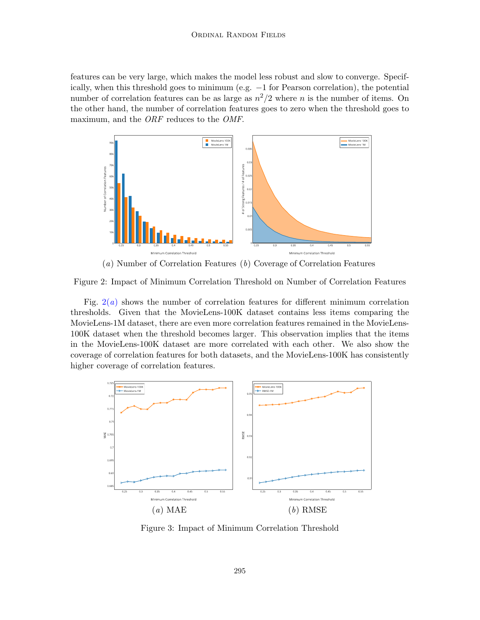features can be very large, which makes the model less robust and slow to converge. Specifically, when this threshold goes to minimum (e.g. −1 for Pearson correlation), the potential number of correlation features can be as large as  $n^2/2$  where n is the number of items. On the other hand, the number of correlation features goes to zero when the threshold goes to maximum, and the ORF reduces to the OMF.

<span id="page-13-0"></span>

(a) Number of Correlation Features (b) Coverage of Correlation Features

Figure 2: Impact of Minimum Correlation Threshold on Number of Correlation Features

Fig.  $2(a)$  $2(a)$  shows the number of correlation features for different minimum correlation thresholds. Given that the MovieLens-100K dataset contains less items comparing the MovieLens-1M dataset, there are even more correlation features remained in the MovieLens-100K dataset when the threshold becomes larger. This observation implies that the items in the MovieLens-100K dataset are more correlated with each other. We also show the coverage of correlation features for both datasets, and the MovieLens-100K has consistently higher coverage of correlation features.



<span id="page-13-1"></span>Figure 3: Impact of Minimum Correlation Threshold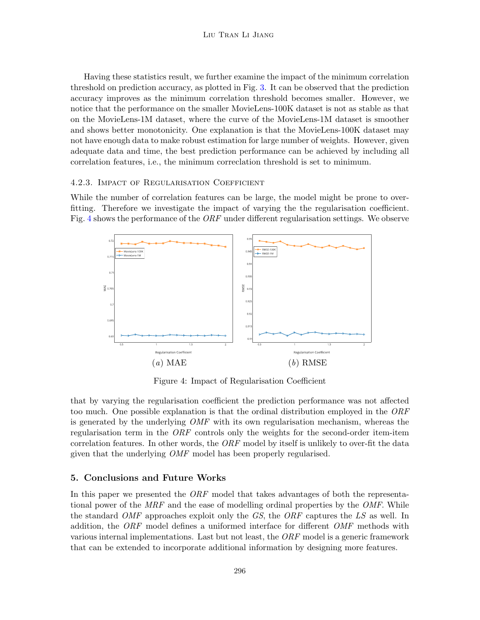Having these statistics result, we further examine the impact of the minimum correlation threshold on prediction accuracy, as plotted in Fig. [3.](#page-13-1) It can be observed that the prediction accuracy improves as the minimum correlation threshold becomes smaller. However, we notice that the performance on the smaller MovieLens-100K dataset is not as stable as that on the MovieLens-1M dataset, where the curve of the MovieLens-1M dataset is smoother and shows better monotonicity. One explanation is that the MovieLens-100K dataset may not have enough data to make robust estimation for large number of weights. However, given adequate data and time, the best prediction performance can be achieved by including all correlation features, i.e., the minimum correclation threshold is set to minimum.

#### 4.2.3. Impact of Regularisation Coefficient

While the number of correlation features can be large, the model might be prone to overfitting. Therefore we investigate the impact of varying the the regularisation coefficient. Fig. [4](#page-14-1) shows the performance of the ORF under different regularisation settings. We observe



<span id="page-14-1"></span>Figure 4: Impact of Regularisation Coefficient

that by varying the regularisation coefficient the prediction performance was not affected too much. One possible explanation is that the ordinal distribution employed in the ORF is generated by the underlying OMF with its own regularisation mechanism, whereas the regularisation term in the *ORF* controls only the weights for the second-order item-item correlation features. In other words, the  $ORF$  model by itself is unlikely to over-fit the data given that the underlying *OMF* model has been properly regularised.

#### <span id="page-14-0"></span>5. Conclusions and Future Works

In this paper we presented the *ORF* model that takes advantages of both the representational power of the MRF and the ease of modelling ordinal properties by the OMF. While the standard *OMF* approaches exploit only the  $GS$ , the *ORF* captures the  $LS$  as well. In addition, the ORF model defines a uniformed interface for different OMF methods with various internal implementations. Last but not least, the  $ORF$  model is a generic framework that can be extended to incorporate additional information by designing more features.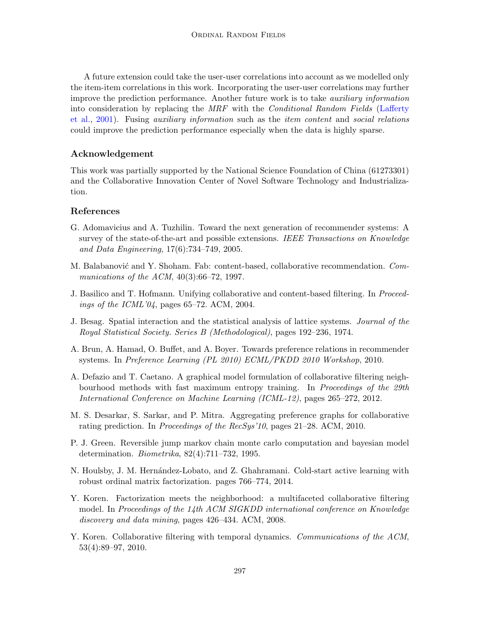A future extension could take the user-user correlations into account as we modelled only the item-item correlations in this work. Incorporating the user-user correlations may further improve the prediction performance. Another future work is to take auxiliary information into consideration by replacing the MRF with the *Conditional Random Fields* [\(Lafferty](#page-16-11) [et al.,](#page-16-11) [2001\)](#page-16-11). Fusing auxiliary information such as the item content and social relations could improve the prediction performance especially when the data is highly sparse.

## Acknowledgement

This work was partially supported by the National Science Foundation of China (61273301) and the Collaborative Innovation Center of Novel Software Technology and Industrialization.

# References

- <span id="page-15-6"></span>G. Adomavicius and A. Tuzhilin. Toward the next generation of recommender systems: A survey of the state-of-the-art and possible extensions. IEEE Transactions on Knowledge and Data Engineering, 17(6):734–749, 2005.
- <span id="page-15-0"></span>M. Balabanović and Y. Shoham. Fab: content-based, collaborative recommendation. Communications of the ACM,  $40(3):66-72$ , 1997.
- <span id="page-15-5"></span>J. Basilico and T. Hofmann. Unifying collaborative and content-based filtering. In Proceedings of the ICML'04, pages 65–72. ACM, 2004.
- <span id="page-15-10"></span>J. Besag. Spatial interaction and the statistical analysis of lattice systems. Journal of the Royal Statistical Society. Series B (Methodological), pages 192–236, 1974.
- <span id="page-15-1"></span>A. Brun, A. Hamad, O. Buffet, and A. Boyer. Towards preference relations in recommender systems. In Preference Learning (PL 2010) ECML/PKDD 2010 Workshop, 2010.
- <span id="page-15-8"></span>A. Defazio and T. Caetano. A graphical model formulation of collaborative filtering neighbourhood methods with fast maximum entropy training. In Proceedings of the 29th International Conference on Machine Learning (ICML-12), pages 265–272, 2012.
- <span id="page-15-2"></span>M. S. Desarkar, S. Sarkar, and P. Mitra. Aggregating preference graphs for collaborative rating prediction. In Proceedings of the RecSys'10, pages 21–28. ACM, 2010.
- <span id="page-15-9"></span>P. J. Green. Reversible jump markov chain monte carlo computation and bayesian model determination. Biometrika, 82(4):711–732, 1995.
- <span id="page-15-3"></span>N. Houlsby, J. M. Hernández-Lobato, and Z. Ghahramani. Cold-start active learning with robust ordinal matrix factorization. pages 766–774, 2014.
- <span id="page-15-4"></span>Y. Koren. Factorization meets the neighborhood: a multifaceted collaborative filtering model. In Proceedings of the 14th ACM SIGKDD international conference on Knowledge discovery and data mining, pages 426–434. ACM, 2008.
- <span id="page-15-7"></span>Y. Koren. Collaborative filtering with temporal dynamics. Communications of the ACM, 53(4):89–97, 2010.